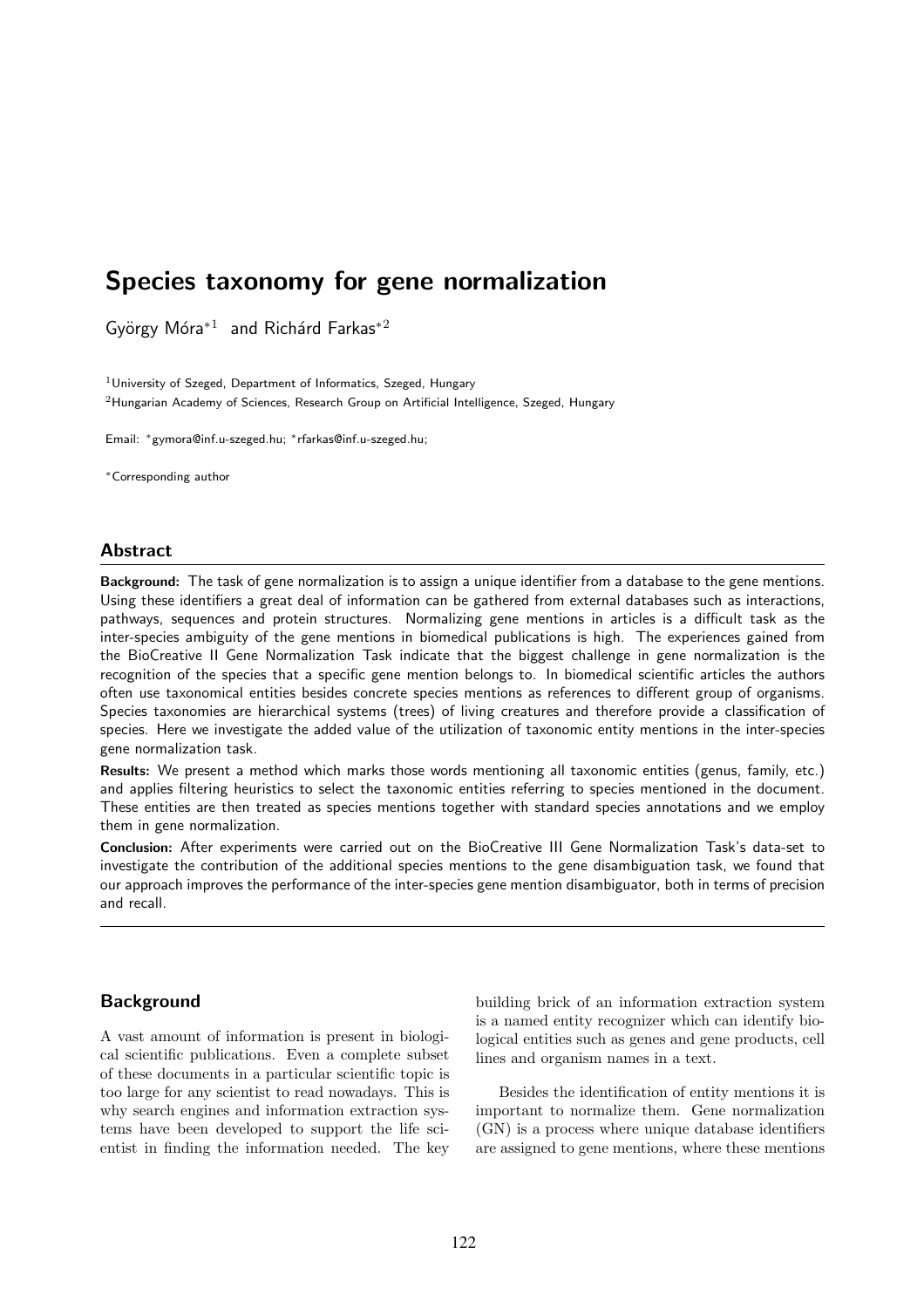# Species taxonomy for gene normalization

György Móra $*1$  and Richárd Farkas $*2$ 

<sup>1</sup> University of Szeged, Department of Informatics, Szeged, Hungary <sup>2</sup>Hungarian Academy of Sciences, Research Group on Artificial Intelligence, Szeged, Hungary

Email: <sup>∗</sup>gymora@inf.u-szeged.hu; <sup>∗</sup>rfarkas@inf.u-szeged.hu;

<sup>∗</sup>Corresponding author

# **Abstract**

Background: The task of gene normalization is to assign a unique identifier from a database to the gene mentions. Using these identifiers a great deal of information can be gathered from external databases such as interactions, pathways, sequences and protein structures. Normalizing gene mentions in articles is a difficult task as the inter-species ambiguity of the gene mentions in biomedical publications is high. The experiences gained from the BioCreative II Gene Normalization Task indicate that the biggest challenge in gene normalization is the recognition of the species that a specific gene mention belongs to. In biomedical scientific articles the authors often use taxonomical entities besides concrete species mentions as references to different group of organisms. Species taxonomies are hierarchical systems (trees) of living creatures and therefore provide a classification of species. Here we investigate the added value of the utilization of taxonomic entity mentions in the inter-species gene normalization task.

Results: We present a method which marks those words mentioning all taxonomic entities (genus, family, etc.) and applies filtering heuristics to select the taxonomic entities referring to species mentioned in the document. These entities are then treated as species mentions together with standard species annotations and we employ them in gene normalization.

Conclusion: After experiments were carried out on the BioCreative III Gene Normalization Task's data-set to investigate the contribution of the additional species mentions to the gene disambiguation task, we found that our approach improves the performance of the inter-species gene mention disambiguator, both in terms of precision and recall.

## Background

A vast amount of information is present in biological scientific publications. Even a complete subset of these documents in a particular scientific topic is too large for any scientist to read nowadays. This is why search engines and information extraction systems have been developed to support the life scientist in finding the information needed. The key building brick of an information extraction system is a named entity recognizer which can identify biological entities such as genes and gene products, cell lines and organism names in a text.

Besides the identification of entity mentions it is important to normalize them. Gene normalization (GN) is a process where unique database identifiers are assigned to gene mentions, where these mentions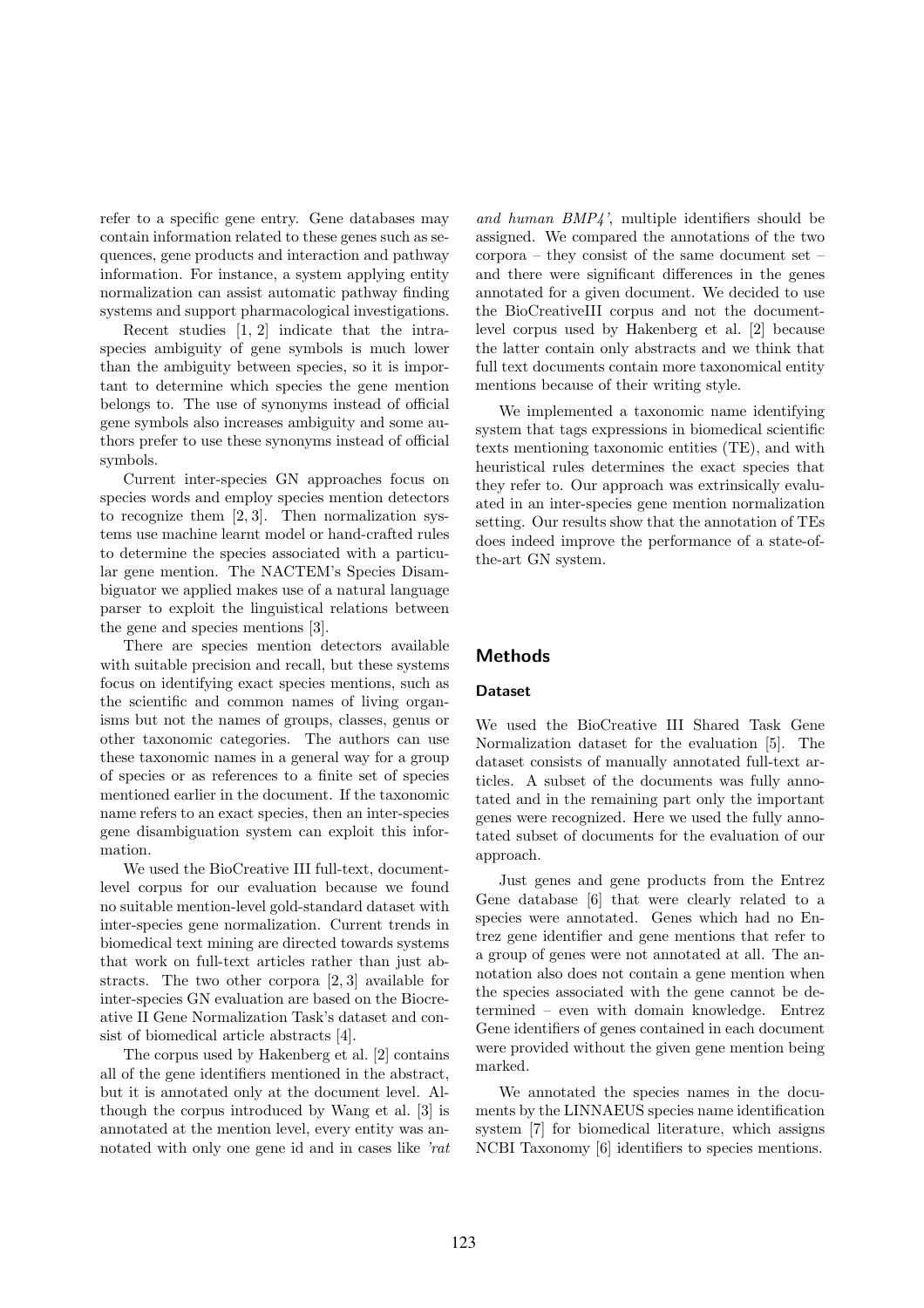refer to a specific gene entry. Gene databases may contain information related to these genes such as sequences, gene products and interaction and pathway information. For instance, a system applying entity normalization can assist automatic pathway finding systems and support pharmacological investigations.

Recent studies [1, 2] indicate that the intraspecies ambiguity of gene symbols is much lower than the ambiguity between species, so it is important to determine which species the gene mention belongs to. The use of synonyms instead of official gene symbols also increases ambiguity and some authors prefer to use these synonyms instead of official symbols.

Current inter-species GN approaches focus on species words and employ species mention detectors to recognize them [2, 3]. Then normalization systems use machine learnt model or hand-crafted rules to determine the species associated with a particular gene mention. The NACTEM's Species Disambiguator we applied makes use of a natural language parser to exploit the linguistical relations between the gene and species mentions [3].

There are species mention detectors available with suitable precision and recall, but these systems focus on identifying exact species mentions, such as the scientific and common names of living organisms but not the names of groups, classes, genus or other taxonomic categories. The authors can use these taxonomic names in a general way for a group of species or as references to a finite set of species mentioned earlier in the document. If the taxonomic name refers to an exact species, then an inter-species gene disambiguation system can exploit this information.

We used the BioCreative III full-text, documentlevel corpus for our evaluation because we found no suitable mention-level gold-standard dataset with inter-species gene normalization. Current trends in biomedical text mining are directed towards systems that work on full-text articles rather than just abstracts. The two other corpora [2, 3] available for inter-species GN evaluation are based on the Biocreative II Gene Normalization Task's dataset and consist of biomedical article abstracts [4].

The corpus used by Hakenberg et al. [2] contains all of the gene identifiers mentioned in the abstract, but it is annotated only at the document level. Although the corpus introduced by Wang et al. [3] is annotated at the mention level, every entity was annotated with only one gene id and in cases like 'rat

and human BMP4', multiple identifiers should be assigned. We compared the annotations of the two corpora – they consist of the same document set – and there were significant differences in the genes annotated for a given document. We decided to use the BioCreativeIII corpus and not the documentlevel corpus used by Hakenberg et al. [2] because the latter contain only abstracts and we think that full text documents contain more taxonomical entity mentions because of their writing style.

We implemented a taxonomic name identifying system that tags expressions in biomedical scientific texts mentioning taxonomic entities (TE), and with heuristical rules determines the exact species that they refer to. Our approach was extrinsically evaluated in an inter-species gene mention normalization setting. Our results show that the annotation of TEs does indeed improve the performance of a state-ofthe-art GN system.

## Methods

#### Dataset

We used the BioCreative III Shared Task Gene Normalization dataset for the evaluation [5]. The dataset consists of manually annotated full-text articles. A subset of the documents was fully annotated and in the remaining part only the important genes were recognized. Here we used the fully annotated subset of documents for the evaluation of our approach.

Just genes and gene products from the Entrez Gene database [6] that were clearly related to a species were annotated. Genes which had no Entrez gene identifier and gene mentions that refer to a group of genes were not annotated at all. The annotation also does not contain a gene mention when the species associated with the gene cannot be determined – even with domain knowledge. Entrez Gene identifiers of genes contained in each document were provided without the given gene mention being marked.

We annotated the species names in the documents by the LINNAEUS species name identification system [7] for biomedical literature, which assigns NCBI Taxonomy [6] identifiers to species mentions.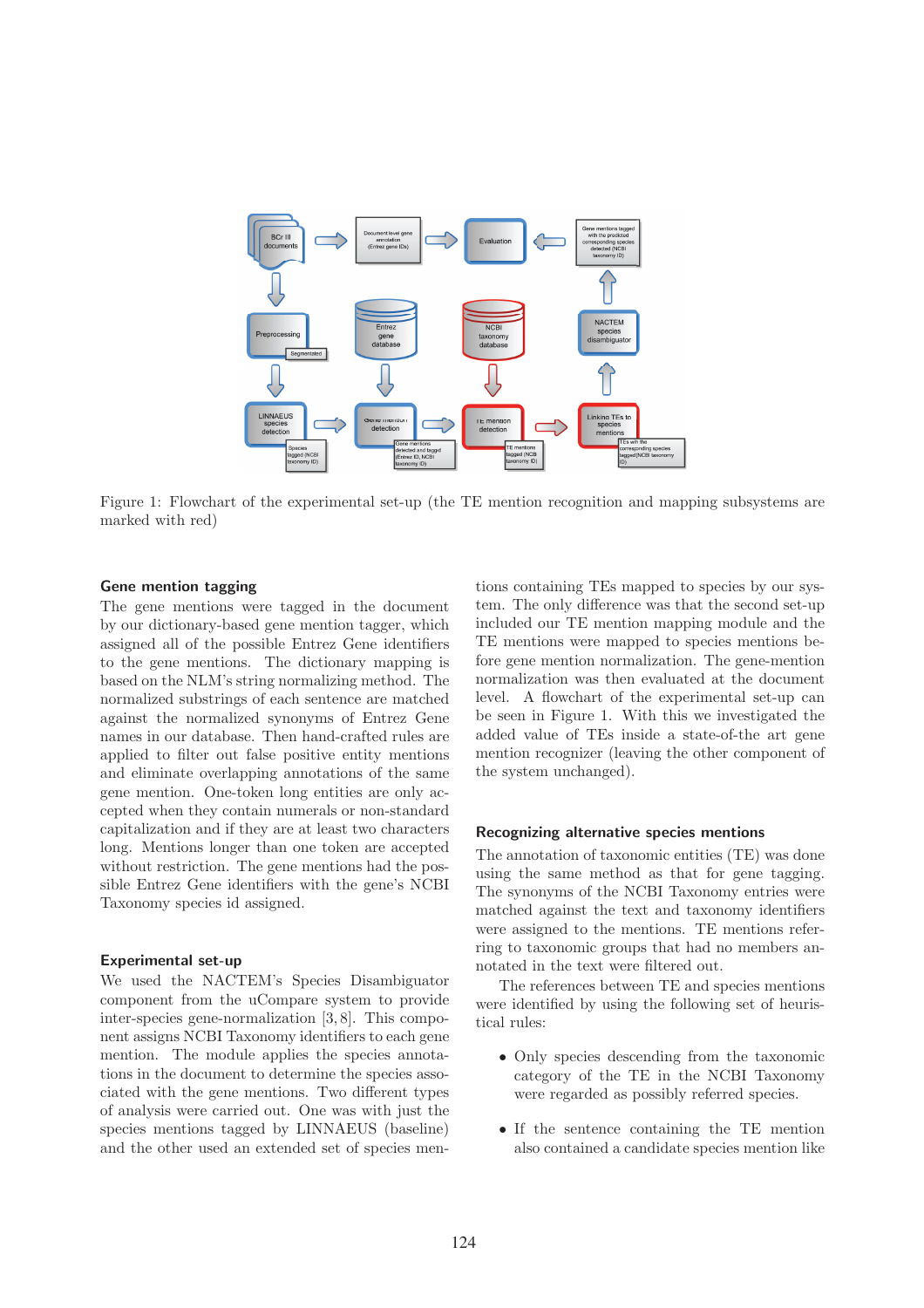

Figure 1: Flowchart of the experimental set-up (the TE mention recognition and mapping subsystems are marked with red)

#### Gene mention tagging

The gene mentions were tagged in the document by our dictionary-based gene mention tagger, which assigned all of the possible Entrez Gene identifiers to the gene mentions. The dictionary mapping is based on the NLM's string normalizing method. The normalized substrings of each sentence are matched against the normalized synonyms of Entrez Gene names in our database. Then hand-crafted rules are applied to filter out false positive entity mentions and eliminate overlapping annotations of the same gene mention. One-token long entities are only accepted when they contain numerals or non-standard capitalization and if they are at least two characters long. Mentions longer than one token are accepted without restriction. The gene mentions had the possible Entrez Gene identifiers with the gene's NCBI Taxonomy species id assigned.

#### Experimental set-up

We used the NACTEM's Species Disambiguator component from the uCompare system to provide inter-species gene-normalization [3, 8]. This component assigns NCBI Taxonomy identifiers to each gene mention. The module applies the species annotations in the document to determine the species associated with the gene mentions. Two different types of analysis were carried out. One was with just the species mentions tagged by LINNAEUS (baseline) and the other used an extended set of species mentions containing TEs mapped to species by our system. The only difference was that the second set-up included our TE mention mapping module and the TE mentions were mapped to species mentions before gene mention normalization. The gene-mention normalization was then evaluated at the document level. A flowchart of the experimental set-up can be seen in Figure 1. With this we investigated the added value of TEs inside a state-of-the art gene mention recognizer (leaving the other component of the system unchanged).

#### Recognizing alternative species mentions

The annotation of taxonomic entities (TE) was done using the same method as that for gene tagging. The synonyms of the NCBI Taxonomy entries were matched against the text and taxonomy identifiers were assigned to the mentions. TE mentions referring to taxonomic groups that had no members annotated in the text were filtered out.

The references between TE and species mentions were identified by using the following set of heuristical rules:

- Only species descending from the taxonomic category of the TE in the NCBI Taxonomy were regarded as possibly referred species.
- If the sentence containing the TE mention also contained a candidate species mention like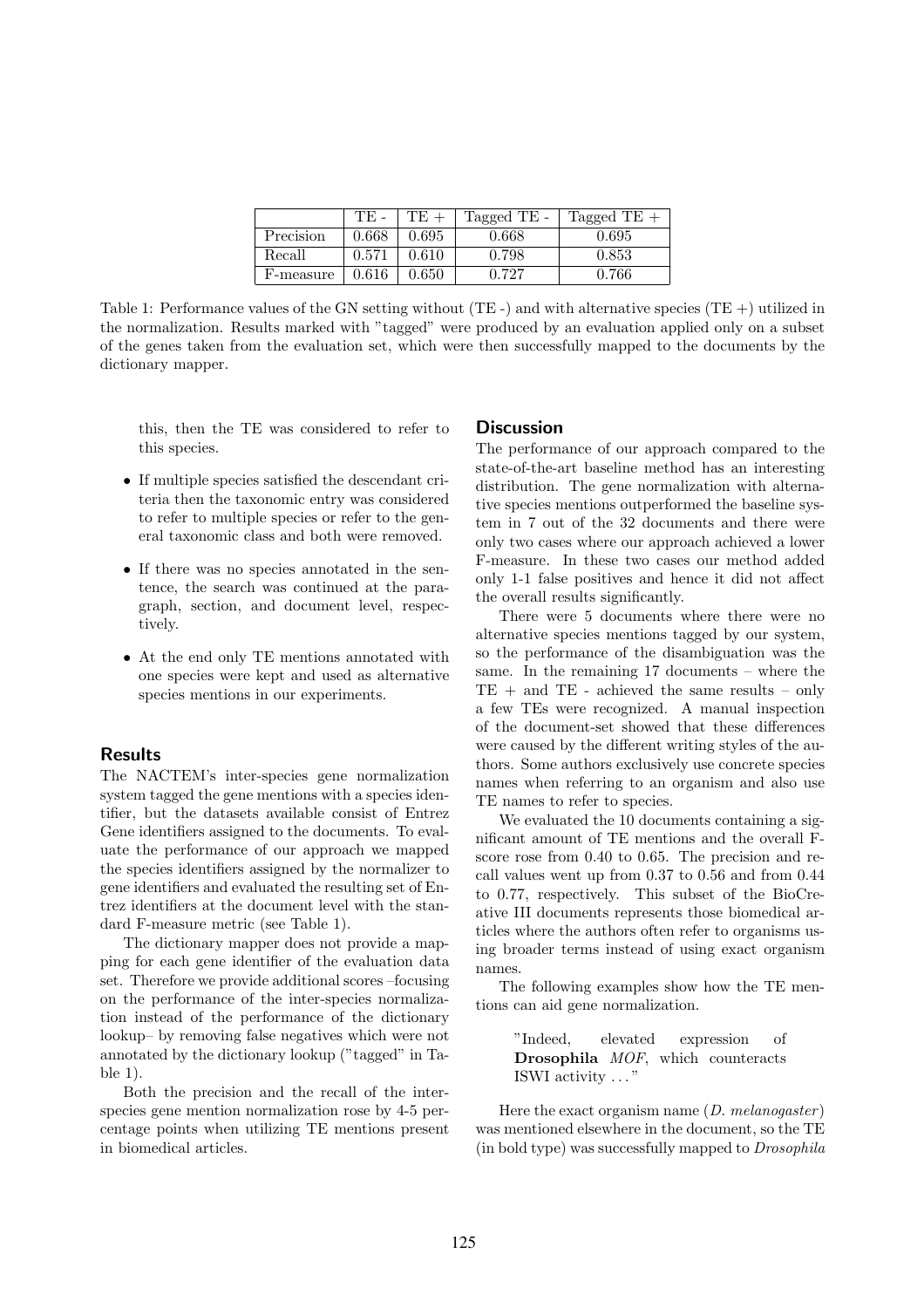|           | TE -  | TE    | Tagged TE - | Tagged TE $+$ |
|-----------|-------|-------|-------------|---------------|
| Precision | 0.668 | 0.695 | 0.668       | 0.695         |
| Recall    | 0.571 | 0.610 | 0.798       | 0.853         |
| F-measure | 0.616 | 0.650 | 0.727       | 0.766         |

Table 1: Performance values of the GN setting without (TE -) and with alternative species (TE +) utilized in the normalization. Results marked with "tagged" were produced by an evaluation applied only on a subset of the genes taken from the evaluation set, which were then successfully mapped to the documents by the dictionary mapper.

this, then the TE was considered to refer to this species.

- If multiple species satisfied the descendant criteria then the taxonomic entry was considered to refer to multiple species or refer to the general taxonomic class and both were removed.
- If there was no species annotated in the sentence, the search was continued at the paragraph, section, and document level, respectively.
- At the end only TE mentions annotated with one species were kept and used as alternative species mentions in our experiments.

# Results

The NACTEM's inter-species gene normalization system tagged the gene mentions with a species identifier, but the datasets available consist of Entrez Gene identifiers assigned to the documents. To evaluate the performance of our approach we mapped the species identifiers assigned by the normalizer to gene identifiers and evaluated the resulting set of Entrez identifiers at the document level with the standard F-measure metric (see Table 1).

The dictionary mapper does not provide a mapping for each gene identifier of the evaluation data set. Therefore we provide additional scores –focusing on the performance of the inter-species normalization instead of the performance of the dictionary lookup– by removing false negatives which were not annotated by the dictionary lookup ("tagged" in Table 1).

Both the precision and the recall of the interspecies gene mention normalization rose by 4-5 percentage points when utilizing TE mentions present in biomedical articles.

#### **Discussion**

The performance of our approach compared to the state-of-the-art baseline method has an interesting distribution. The gene normalization with alternative species mentions outperformed the baseline system in 7 out of the 32 documents and there were only two cases where our approach achieved a lower F-measure. In these two cases our method added only 1-1 false positives and hence it did not affect the overall results significantly.

There were 5 documents where there were no alternative species mentions tagged by our system, so the performance of the disambiguation was the same. In the remaining 17 documents – where the  $TE +$  and  $TE -$  achieved the same results  $-$  only a few TEs were recognized. A manual inspection of the document-set showed that these differences were caused by the different writing styles of the authors. Some authors exclusively use concrete species names when referring to an organism and also use TE names to refer to species.

We evaluated the 10 documents containing a significant amount of TE mentions and the overall Fscore rose from 0.40 to 0.65. The precision and recall values went up from 0.37 to 0.56 and from 0.44 to 0.77, respectively. This subset of the BioCreative III documents represents those biomedical articles where the authors often refer to organisms using broader terms instead of using exact organism names.

The following examples show how the TE mentions can aid gene normalization.

> "Indeed, elevated expression of Drosophila *MOF*, which counteracts ISWI activity . . . "

Here the exact organism name  $(D. \; melanogaster)$ was mentioned elsewhere in the document, so the TE (in bold type) was successfully mapped to Drosophila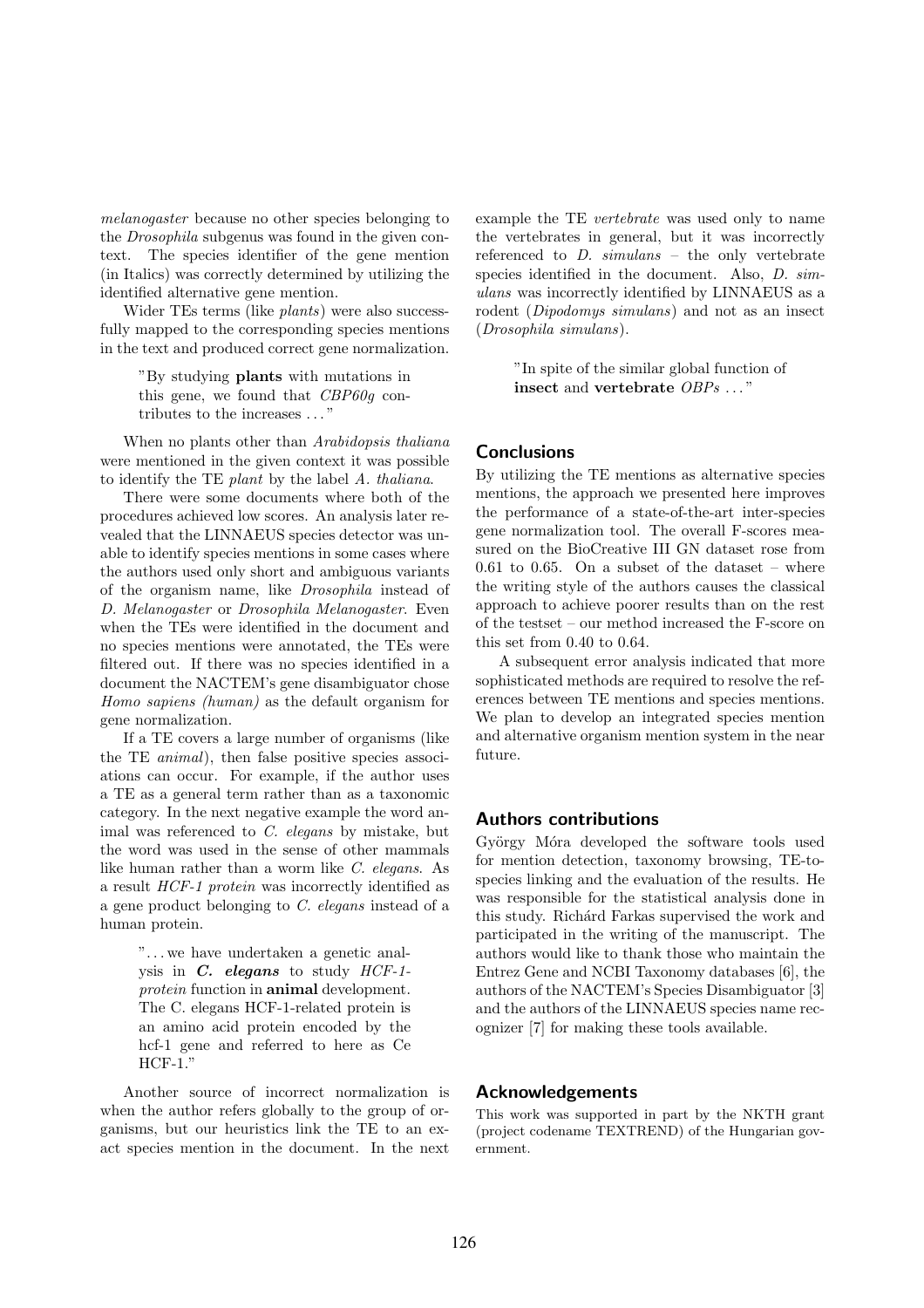melanogaster because no other species belonging to the Drosophila subgenus was found in the given context. The species identifier of the gene mention (in Italics) was correctly determined by utilizing the identified alternative gene mention.

Wider TEs terms (like plants) were also successfully mapped to the corresponding species mentions in the text and produced correct gene normalization.

> "By studying plants with mutations in this gene, we found that CBP60g contributes to the increases . . . "

When no plants other than Arabidopsis thaliana were mentioned in the given context it was possible to identify the TE plant by the label A. thaliana.

There were some documents where both of the procedures achieved low scores. An analysis later revealed that the LINNAEUS species detector was unable to identify species mentions in some cases where the authors used only short and ambiguous variants of the organism name, like Drosophila instead of D. Melanogaster or Drosophila Melanogaster. Even when the TEs were identified in the document and no species mentions were annotated, the TEs were filtered out. If there was no species identified in a document the NACTEM's gene disambiguator chose Homo sapiens (human) as the default organism for gene normalization.

If a TE covers a large number of organisms (like the TE animal), then false positive species associations can occur. For example, if the author uses a TE as a general term rather than as a taxonomic category. In the next negative example the word animal was referenced to C. elegans by mistake, but the word was used in the sense of other mammals like human rather than a worm like C. elegans. As a result HCF-1 protein was incorrectly identified as a gene product belonging to C. elegans instead of a human protein.

> ". . . we have undertaken a genetic analysis in  $C$ . elegans to study  $HCF-1$ protein function in animal development. The C. elegans HCF-1-related protein is an amino acid protein encoded by the hcf-1 gene and referred to here as Ce HCF-1."

Another source of incorrect normalization is when the author refers globally to the group of organisms, but our heuristics link the TE to an exact species mention in the document. In the next example the TE vertebrate was used only to name the vertebrates in general, but it was incorrectly referenced to D. simulans – the only vertebrate species identified in the document. Also, *D. sim*ulans was incorrectly identified by LINNAEUS as a rodent (Dipodomys simulans) and not as an insect (Drosophila simulans).

> "In spite of the similar global function of insect and vertebrate OBPs . . . "

# **Conclusions**

By utilizing the TE mentions as alternative species mentions, the approach we presented here improves the performance of a state-of-the-art inter-species gene normalization tool. The overall F-scores measured on the BioCreative III GN dataset rose from 0.61 to 0.65. On a subset of the dataset – where the writing style of the authors causes the classical approach to achieve poorer results than on the rest of the testset – our method increased the F-score on this set from 0.40 to 0.64.

A subsequent error analysis indicated that more sophisticated methods are required to resolve the references between TE mentions and species mentions. We plan to develop an integrated species mention and alternative organism mention system in the near future.

## Authors contributions

György Móra developed the software tools used for mention detection, taxonomy browsing, TE-tospecies linking and the evaluation of the results. He was responsible for the statistical analysis done in this study. Richárd Farkas supervised the work and participated in the writing of the manuscript. The authors would like to thank those who maintain the Entrez Gene and NCBI Taxonomy databases [6], the authors of the NACTEM's Species Disambiguator [3] and the authors of the LINNAEUS species name recognizer [7] for making these tools available.

#### Acknowledgements

This work was supported in part by the NKTH grant (project codename TEXTREND) of the Hungarian government.